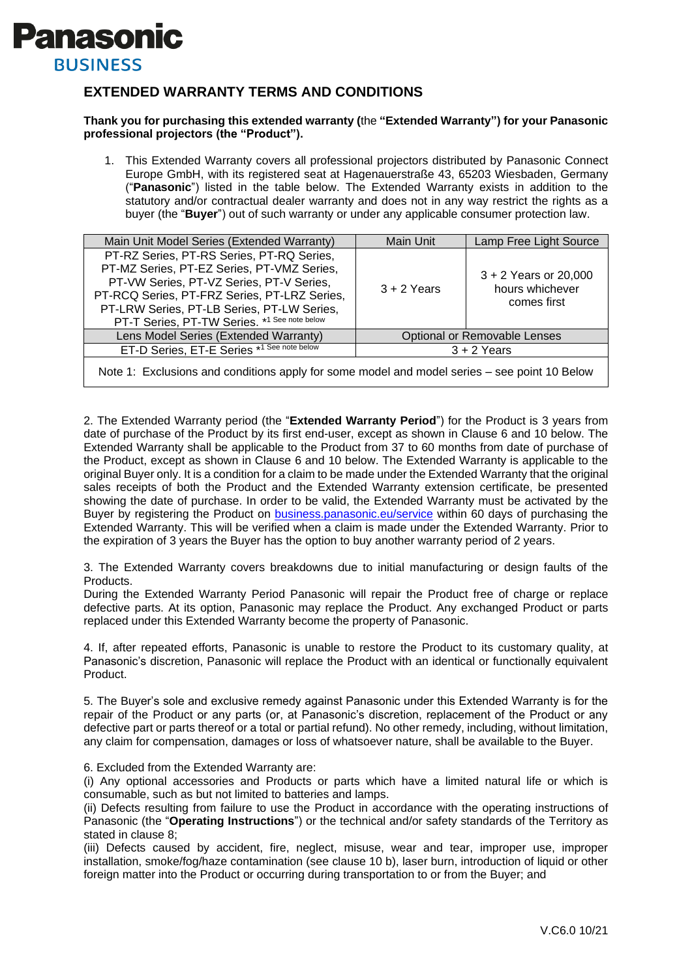

## **EXTENDED WARRANTY TERMS AND CONDITIONS**

## **Thank you for purchasing this extended warranty (**the **"Extended Warranty") for your Panasonic professional projectors (the "Product").**

1. This Extended Warranty covers all professional projectors distributed by Panasonic Connect Europe GmbH, with its registered seat at Hagenauerstraße 43, 65203 Wiesbaden, Germany ("**Panasonic**") listed in the table below. The Extended Warranty exists in addition to the statutory and/or contractual dealer warranty and does not in any way restrict the rights as a buyer (the "**Buyer**") out of such warranty or under any applicable consumer protection law.

| Main Unit Model Series (Extended Warranty)                                                                                                                                                                                                                                        | Main Unit                           | Lamp Free Light Source                                    |
|-----------------------------------------------------------------------------------------------------------------------------------------------------------------------------------------------------------------------------------------------------------------------------------|-------------------------------------|-----------------------------------------------------------|
| PT-RZ Series, PT-RS Series, PT-RQ Series,<br>PT-MZ Series, PT-EZ Series, PT-VMZ Series,<br>PT-VW Series, PT-VZ Series, PT-V Series,<br>PT-RCQ Series, PT-FRZ Series, PT-LRZ Series,<br>PT-LRW Series, PT-LB Series, PT-LW Series,<br>PT-T Series, PT-TW Series. *1 See note below | $3 + 2$ Years                       | $3 + 2$ Years or 20,000<br>hours whichever<br>comes first |
| Lens Model Series (Extended Warranty)                                                                                                                                                                                                                                             | <b>Optional or Removable Lenses</b> |                                                           |
| ET-D Series, ET-E Series *1 See note below                                                                                                                                                                                                                                        | $3 + 2$ Years                       |                                                           |
|                                                                                                                                                                                                                                                                                   |                                     |                                                           |

Note 1: Exclusions and conditions apply for some model and model series – see point 10 Below

2. The Extended Warranty period (the "**Extended Warranty Period**") for the Product is 3 years from date of purchase of the Product by its first end-user, except as shown in Clause 6 and 10 below. The Extended Warranty shall be applicable to the Product from 37 to 60 months from date of purchase of the Product, except as shown in Clause 6 and 10 below. The Extended Warranty is applicable to the original Buyer only. It is a condition for a claim to be made under the Extended Warranty that the original sales receipts of both the Product and the Extended Warranty extension certificate, be presented showing the date of purchase. In order to be valid, the Extended Warranty must be activated by the Buyer by registering the Product on [business.panasonic.eu/service](file://///pmuk.net/dfs/data/pmuk/PJSE/Controlled/Internal%20Use/Call%20Center/_WARRANTY/PROJECTORS/business.panasonic.eu/service) within 60 days of purchasing the Extended Warranty. This will be verified when a claim is made under the Extended Warranty. Prior to the expiration of 3 years the Buyer has the option to buy another warranty period of 2 years.

3. The Extended Warranty covers breakdowns due to initial manufacturing or design faults of the Products.

During the Extended Warranty Period Panasonic will repair the Product free of charge or replace defective parts. At its option, Panasonic may replace the Product. Any exchanged Product or parts replaced under this Extended Warranty become the property of Panasonic.

4. If, after repeated efforts, Panasonic is unable to restore the Product to its customary quality, at Panasonic's discretion, Panasonic will replace the Product with an identical or functionally equivalent Product.

5. The Buyer's sole and exclusive remedy against Panasonic under this Extended Warranty is for the repair of the Product or any parts (or, at Panasonic's discretion, replacement of the Product or any defective part or parts thereof or a total or partial refund). No other remedy, including, without limitation, any claim for compensation, damages or loss of whatsoever nature, shall be available to the Buyer.

6. Excluded from the Extended Warranty are:

(i) Any optional accessories and Products or parts which have a limited natural life or which is consumable, such as but not limited to batteries and lamps.

(ii) Defects resulting from failure to use the Product in accordance with the operating instructions of Panasonic (the "**Operating Instructions**") or the technical and/or safety standards of the Territory as stated in clause 8;

(iii) Defects caused by accident, fire, neglect, misuse, wear and tear, improper use, improper installation, smoke/fog/haze contamination (see clause 10 b), laser burn, introduction of liquid or other foreign matter into the Product or occurring during transportation to or from the Buyer; and